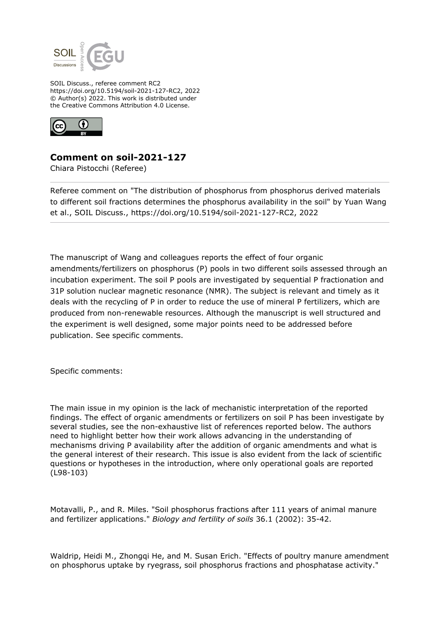

SOIL Discuss., referee comment RC2 https://doi.org/10.5194/soil-2021-127-RC2, 2022 © Author(s) 2022. This work is distributed under the Creative Commons Attribution 4.0 License.



## **Comment on soil-2021-127**

Chiara Pistocchi (Referee)

Referee comment on "The distribution of phosphorus from phosphorus derived materials to different soil fractions determines the phosphorus availability in the soil" by Yuan Wang et al., SOIL Discuss., https://doi.org/10.5194/soil-2021-127-RC2, 2022

The manuscript of Wang and colleagues reports the effect of four organic amendments/fertilizers on phosphorus (P) pools in two different soils assessed through an incubation experiment. The soil P pools are investigated by sequential P fractionation and 31P solution nuclear magnetic resonance (NMR). The subject is relevant and timely as it deals with the recycling of P in order to reduce the use of mineral P fertilizers, which are produced from non-renewable resources. Although the manuscript is well structured and the experiment is well designed, some major points need to be addressed before publication. See specific comments.

Specific comments:

The main issue in my opinion is the lack of mechanistic interpretation of the reported findings. The effect of organic amendments or fertilizers on soil P has been investigate by several studies, see the non-exhaustive list of references reported below. The authors need to highlight better how their work allows advancing in the understanding of mechanisms driving P availability after the addition of organic amendments and what is the general interest of their research. This issue is also evident from the lack of scientific questions or hypotheses in the introduction, where only operational goals are reported (L98-103)

Motavalli, P., and R. Miles. "Soil phosphorus fractions after 111 years of animal manure and fertilizer applications." *Biology and fertility of soils* 36.1 (2002): 35-42.

Waldrip, Heidi M., Zhongqi He, and M. Susan Erich. "Effects of poultry manure amendment on phosphorus uptake by ryegrass, soil phosphorus fractions and phosphatase activity."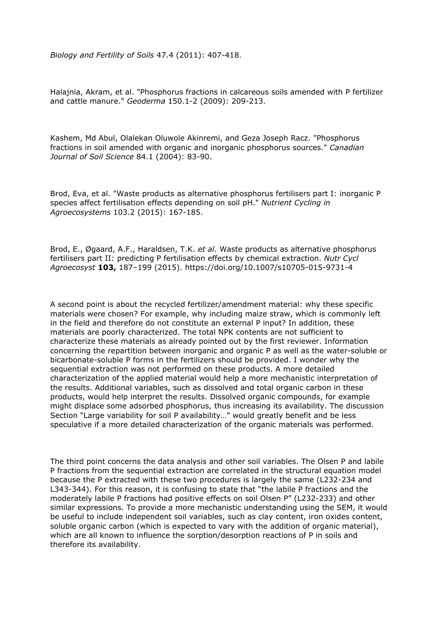*Biology and Fertility of Soils* 47.4 (2011): 407-418.

Halajnia, Akram, et al. "Phosphorus fractions in calcareous soils amended with P fertilizer and cattle manure." *Geoderma* 150.1-2 (2009): 209-213.

Kashem, Md Abul, Olalekan Oluwole Akinremi, and Geza Joseph Racz. "Phosphorus fractions in soil amended with organic and inorganic phosphorus sources." *Canadian Journal of Soil Science* 84.1 (2004): 83-90.

Brod, Eva, et al. "Waste products as alternative phosphorus fertilisers part I: inorganic P species affect fertilisation effects depending on soil pH." *Nutrient Cycling in Agroecosystems* 103.2 (2015): 167-185.

Brod, E., Øgaard, A.F., Haraldsen, T.K. *et al.* Waste products as alternative phosphorus fertilisers part II: predicting P fertilisation effects by chemical extraction. *Nutr Cycl Agroecosyst* **103,** 187–199 (2015). https://doi.org/10.1007/s10705-015-9731-4

A second point is about the recycled fertilizer/amendment material: why these specific materials were chosen? For example, why including maize straw, which is commonly left in the field and therefore do not constitute an external P input? In addition, these materials are poorly characterized. The total NPK contents are not sufficient to characterize these materials as already pointed out by the first reviewer. Information concerning the repartition between inorganic and organic P as well as the water-soluble or bicarbonate-soluble P forms in the fertilizers should be provided. I wonder why the sequential extraction was not performed on these products. A more detailed characterization of the applied material would help a more mechanistic interpretation of the results. Additional variables, such as dissolved and total organic carbon in these products, would help interpret the results. Dissolved organic compounds, for example might displace some adsorbed phosphorus, thus increasing its availability. The discussion Section "Large variability for soil P availability…" would greatly benefit and be less speculative if a more detailed characterization of the organic materials was performed.

The third point concerns the data analysis and other soil variables. The Olsen P and labile P fractions from the sequential extraction are correlated in the structural equation model because the P extracted with these two procedures is largely the same (L232-234 and L343-344). For this reason, it is confusing to state that "the labile P fractions and the moderately labile P fractions had positive effects on soil Olsen P" (L232-233) and other similar expressions. To provide a more mechanistic understanding using the SEM, it would be useful to include independent soil variables, such as clay content, iron oxides content, soluble organic carbon (which is expected to vary with the addition of organic material), which are all known to influence the sorption/desorption reactions of P in soils and therefore its availability.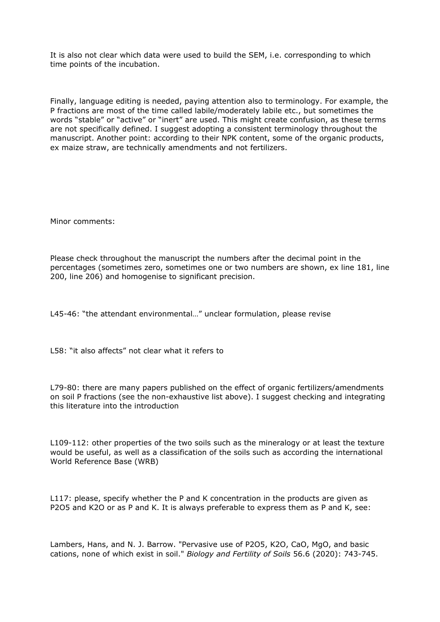It is also not clear which data were used to build the SEM, i.e. corresponding to which time points of the incubation.

Finally, language editing is needed, paying attention also to terminology. For example, the P fractions are most of the time called labile/moderately labile etc., but sometimes the words "stable" or "active" or "inert" are used. This might create confusion, as these terms are not specifically defined. I suggest adopting a consistent terminology throughout the manuscript. Another point: according to their NPK content, some of the organic products, ex maize straw, are technically amendments and not fertilizers.

Minor comments:

Please check throughout the manuscript the numbers after the decimal point in the percentages (sometimes zero, sometimes one or two numbers are shown, ex line 181, line 200, line 206) and homogenise to significant precision.

L45-46: "the attendant environmental…" unclear formulation, please revise

L58: "it also affects" not clear what it refers to

L79-80: there are many papers published on the effect of organic fertilizers/amendments on soil P fractions (see the non-exhaustive list above). I suggest checking and integrating this literature into the introduction

L109-112: other properties of the two soils such as the mineralogy or at least the texture would be useful, as well as a classification of the soils such as according the international World Reference Base (WRB)

L117: please, specify whether the P and K concentration in the products are given as P2O5 and K2O or as P and K. It is always preferable to express them as P and K, see:

Lambers, Hans, and N. J. Barrow. "Pervasive use of P2O5, K2O, CaO, MgO, and basic cations, none of which exist in soil." *Biology and Fertility of Soils* 56.6 (2020): 743-745.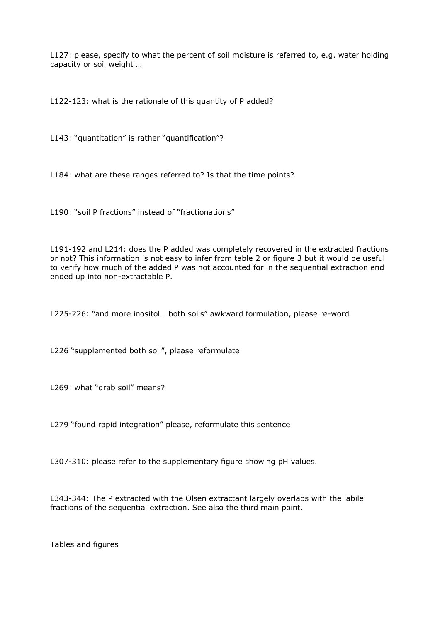L127: please, specify to what the percent of soil moisture is referred to, e.g. water holding capacity or soil weight …

L122-123: what is the rationale of this quantity of P added?

L143: "quantitation" is rather "quantification"?

L184: what are these ranges referred to? Is that the time points?

L190: "soil P fractions" instead of "fractionations"

L191-192 and L214: does the P added was completely recovered in the extracted fractions or not? This information is not easy to infer from table 2 or figure 3 but it would be useful to verify how much of the added P was not accounted for in the sequential extraction end ended up into non-extractable P.

L225-226: "and more inositol… both soils" awkward formulation, please re-word

L226 "supplemented both soil", please reformulate

L269: what "drab soil" means?

L279 "found rapid integration" please, reformulate this sentence

L307-310: please refer to the supplementary figure showing pH values.

L343-344: The P extracted with the Olsen extractant largely overlaps with the labile fractions of the sequential extraction. See also the third main point.

Tables and figures